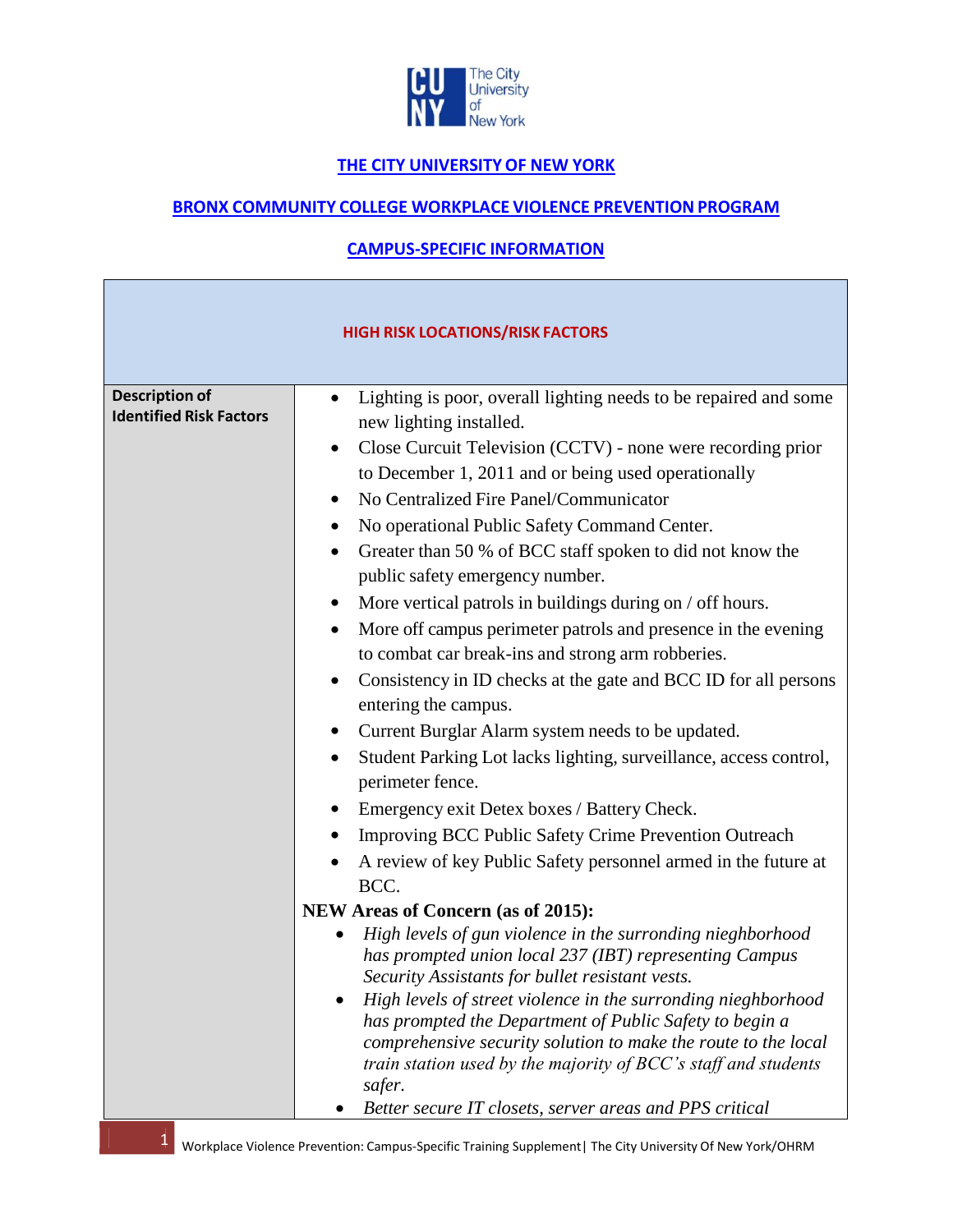

# **THE CITY UNIVERSITYOF NEW YORK**

## **BRONX COMMUNITY COLLEGE WORKPLACE VIOLENCE PREVENTION PROGRAM**

# **CAMPUS-SPECIFIC INFORMATION**

| <b>HIGH RISK LOCATIONS/RISK FACTORS</b>                 |                                                                                                                                                                                                                                                                                                                                                                                                                                                                                                                                                                                                                                                                                                                                                                                                                                                                                                                                                                                                                                                                                |  |
|---------------------------------------------------------|--------------------------------------------------------------------------------------------------------------------------------------------------------------------------------------------------------------------------------------------------------------------------------------------------------------------------------------------------------------------------------------------------------------------------------------------------------------------------------------------------------------------------------------------------------------------------------------------------------------------------------------------------------------------------------------------------------------------------------------------------------------------------------------------------------------------------------------------------------------------------------------------------------------------------------------------------------------------------------------------------------------------------------------------------------------------------------|--|
| <b>Description of</b><br><b>Identified Risk Factors</b> | Lighting is poor, overall lighting needs to be repaired and some<br>new lighting installed.<br>Close Curcuit Television (CCTV) - none were recording prior<br>٠<br>to December 1, 2011 and or being used operationally<br>No Centralized Fire Panel/Communicator<br>٠<br>No operational Public Safety Command Center.<br>Greater than 50 % of BCC staff spoken to did not know the<br>٠<br>public safety emergency number.<br>More vertical patrols in buildings during on / off hours.<br>$\bullet$<br>More off campus perimeter patrols and presence in the evening<br>$\bullet$<br>to combat car break-ins and strong arm robberies.<br>Consistency in ID checks at the gate and BCC ID for all persons<br>entering the campus.<br>Current Burglar Alarm system needs to be updated.<br>٠<br>Student Parking Lot lacks lighting, surveillance, access control,<br>perimeter fence.<br>Emergency exit Detex boxes / Battery Check.<br><b>Improving BCC Public Safety Crime Prevention Outreach</b><br>A review of key Public Safety personnel armed in the future at<br>BCC. |  |
|                                                         | <b>NEW Areas of Concern (as of 2015):</b>                                                                                                                                                                                                                                                                                                                                                                                                                                                                                                                                                                                                                                                                                                                                                                                                                                                                                                                                                                                                                                      |  |
|                                                         | High levels of gun violence in the surronding nieghborhood<br>has prompted union local 237 (IBT) representing Campus<br>Security Assistants for bullet resistant vests.<br>High levels of street violence in the surronding nieghborhood<br>has prompted the Department of Public Safety to begin a<br>comprehensive security solution to make the route to the local<br>train station used by the majority of BCC's staff and students<br>safer.<br>Better secure IT closets, server areas and PPS critical                                                                                                                                                                                                                                                                                                                                                                                                                                                                                                                                                                   |  |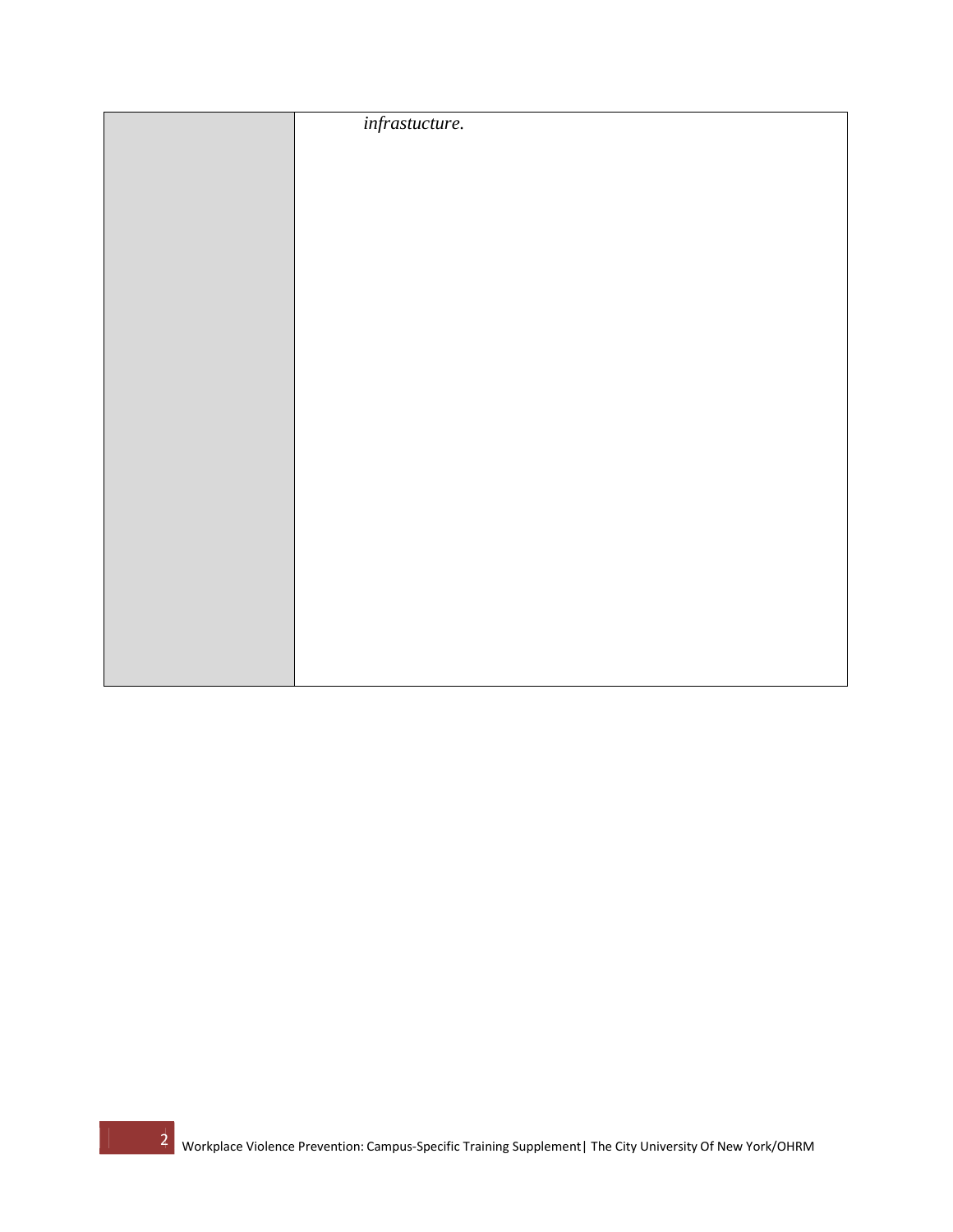| infrastucture. |
|----------------|
|                |
|                |
|                |
|                |
|                |
|                |
|                |
|                |
|                |
|                |
|                |
|                |
|                |
|                |
|                |
|                |
|                |
|                |
|                |
|                |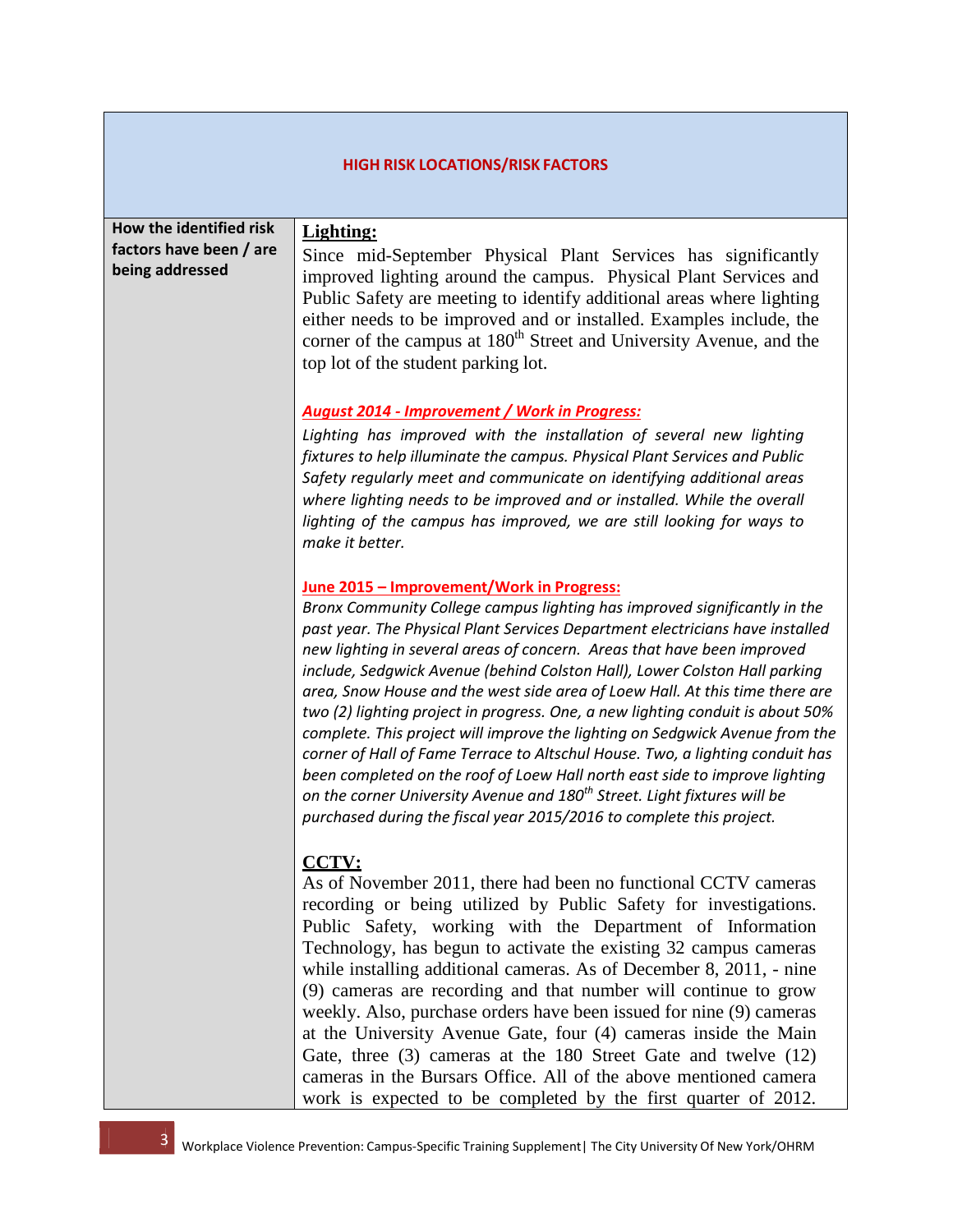| <b>HIGH RISK LOCATIONS/RISK FACTORS</b>                               |                                                                                                                                                                                                                                                                                                                                                                                                                                                                                                                                                                                                                                                                                                                                                                                                                                                                                                                                                    |  |
|-----------------------------------------------------------------------|----------------------------------------------------------------------------------------------------------------------------------------------------------------------------------------------------------------------------------------------------------------------------------------------------------------------------------------------------------------------------------------------------------------------------------------------------------------------------------------------------------------------------------------------------------------------------------------------------------------------------------------------------------------------------------------------------------------------------------------------------------------------------------------------------------------------------------------------------------------------------------------------------------------------------------------------------|--|
| How the identified risk<br>factors have been / are<br>being addressed | Lighting:<br>Since mid-September Physical Plant Services has significantly<br>improved lighting around the campus. Physical Plant Services and<br>Public Safety are meeting to identify additional areas where lighting<br>either needs to be improved and or installed. Examples include, the<br>corner of the campus at 180 <sup>th</sup> Street and University Avenue, and the<br>top lot of the student parking lot.                                                                                                                                                                                                                                                                                                                                                                                                                                                                                                                           |  |
|                                                                       | <b>August 2014 - Improvement / Work in Progress:</b><br>Lighting has improved with the installation of several new lighting<br>fixtures to help illuminate the campus. Physical Plant Services and Public<br>Safety regularly meet and communicate on identifying additional areas<br>where lighting needs to be improved and or installed. While the overall<br>lighting of the campus has improved, we are still looking for ways to<br>make it better.                                                                                                                                                                                                                                                                                                                                                                                                                                                                                          |  |
|                                                                       | June 2015 - Improvement/Work in Progress:<br>Bronx Community College campus lighting has improved significantly in the<br>past year. The Physical Plant Services Department electricians have installed<br>new lighting in several areas of concern. Areas that have been improved<br>include, Sedgwick Avenue (behind Colston Hall), Lower Colston Hall parking<br>area, Snow House and the west side area of Loew Hall. At this time there are<br>two (2) lighting project in progress. One, a new lighting conduit is about 50%<br>complete. This project will improve the lighting on Sedgwick Avenue from the<br>corner of Hall of Fame Terrace to Altschul House. Two, a lighting conduit has<br>been completed on the roof of Loew Hall north east side to improve lighting<br>on the corner University Avenue and 180 <sup>th</sup> Street. Light fixtures will be<br>purchased during the fiscal year 2015/2016 to complete this project. |  |
|                                                                       | <b>CCTV:</b><br>As of November 2011, there had been no functional CCTV cameras<br>recording or being utilized by Public Safety for investigations.<br>Public Safety, working with the Department of Information<br>Technology, has begun to activate the existing 32 campus cameras<br>while installing additional cameras. As of December 8, 2011, - nine<br>(9) cameras are recording and that number will continue to grow<br>weekly. Also, purchase orders have been issued for nine (9) cameras<br>at the University Avenue Gate, four (4) cameras inside the Main<br>Gate, three (3) cameras at the 180 Street Gate and twelve (12)<br>cameras in the Bursars Office. All of the above mentioned camera<br>work is expected to be completed by the first quarter of 2012.                                                                                                                                                                    |  |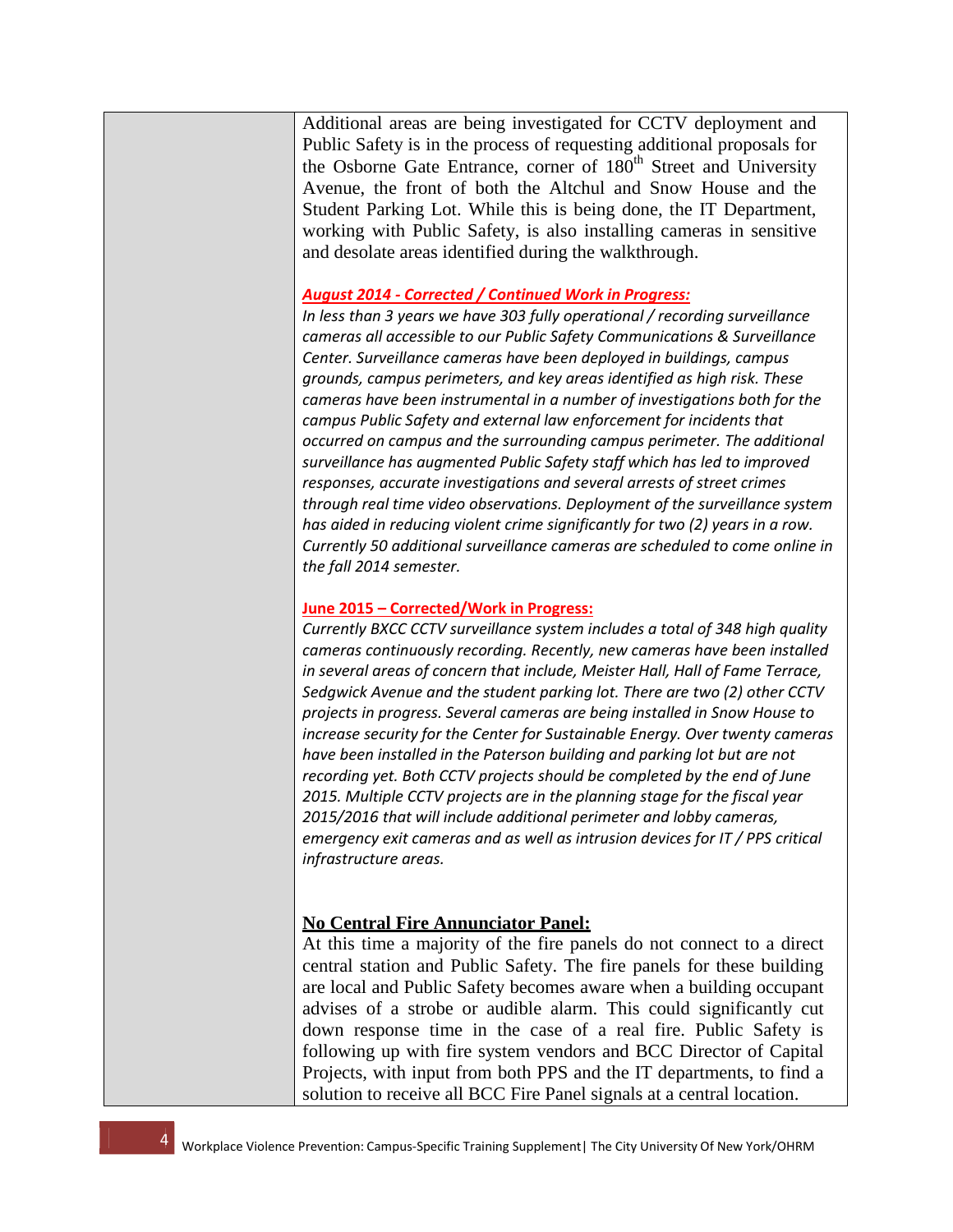Additional areas are being investigated for CCTV deployment and Public Safety is in the process of requesting additional proposals for the Osborne Gate Entrance, corner of  $180<sup>th</sup>$  Street and University Avenue, the front of both the Altchul and Snow House and the Student Parking Lot. While this is being done, the IT Department, working with Public Safety, is also installing cameras in sensitive and desolate areas identified during the walkthrough.

#### *August 2014 - Corrected / Continued Work in Progress:*

*In less than 3 years we have 303 fully operational / recording surveillance cameras all accessible to our Public Safety Communications & Surveillance Center. Surveillance cameras have been deployed in buildings, campus grounds, campus perimeters, and key areas identified as high risk. These cameras have been instrumental in a number of investigations both for the campus Public Safety and external law enforcement for incidents that occurred on campus and the surrounding campus perimeter. The additional surveillance has augmented Public Safety staff which has led to improved responses, accurate investigations and several arrests of street crimes through real time video observations. Deployment of the surveillance system has aided in reducing violent crime significantly for two (2) years in a row. Currently 50 additional surveillance cameras are scheduled to come online in the fall 2014 semester.*

### **June 2015 – Corrected/Work in Progress:**

*Currently BXCC CCTV surveillance system includes a total of 348 high quality cameras continuously recording. Recently, new cameras have been installed in several areas of concern that include, Meister Hall, Hall of Fame Terrace, Sedgwick Avenue and the student parking lot. There are two (2) other CCTV projects in progress. Several cameras are being installed in Snow House to increase security for the Center for Sustainable Energy. Over twenty cameras have been installed in the Paterson building and parking lot but are not recording yet. Both CCTV projects should be completed by the end of June 2015. Multiple CCTV projects are in the planning stage for the fiscal year 2015/2016 that will include additional perimeter and lobby cameras, emergency exit cameras and as well as intrusion devices for IT / PPS critical infrastructure areas.*

## **No Central Fire Annunciator Panel:**

At this time a majority of the fire panels do not connect to a direct central station and Public Safety. The fire panels for these building are local and Public Safety becomes aware when a building occupant advises of a strobe or audible alarm. This could significantly cut down response time in the case of a real fire. Public Safety is following up with fire system vendors and BCC Director of Capital Projects, with input from both PPS and the IT departments, to find a solution to receive all BCC Fire Panel signals at a central location.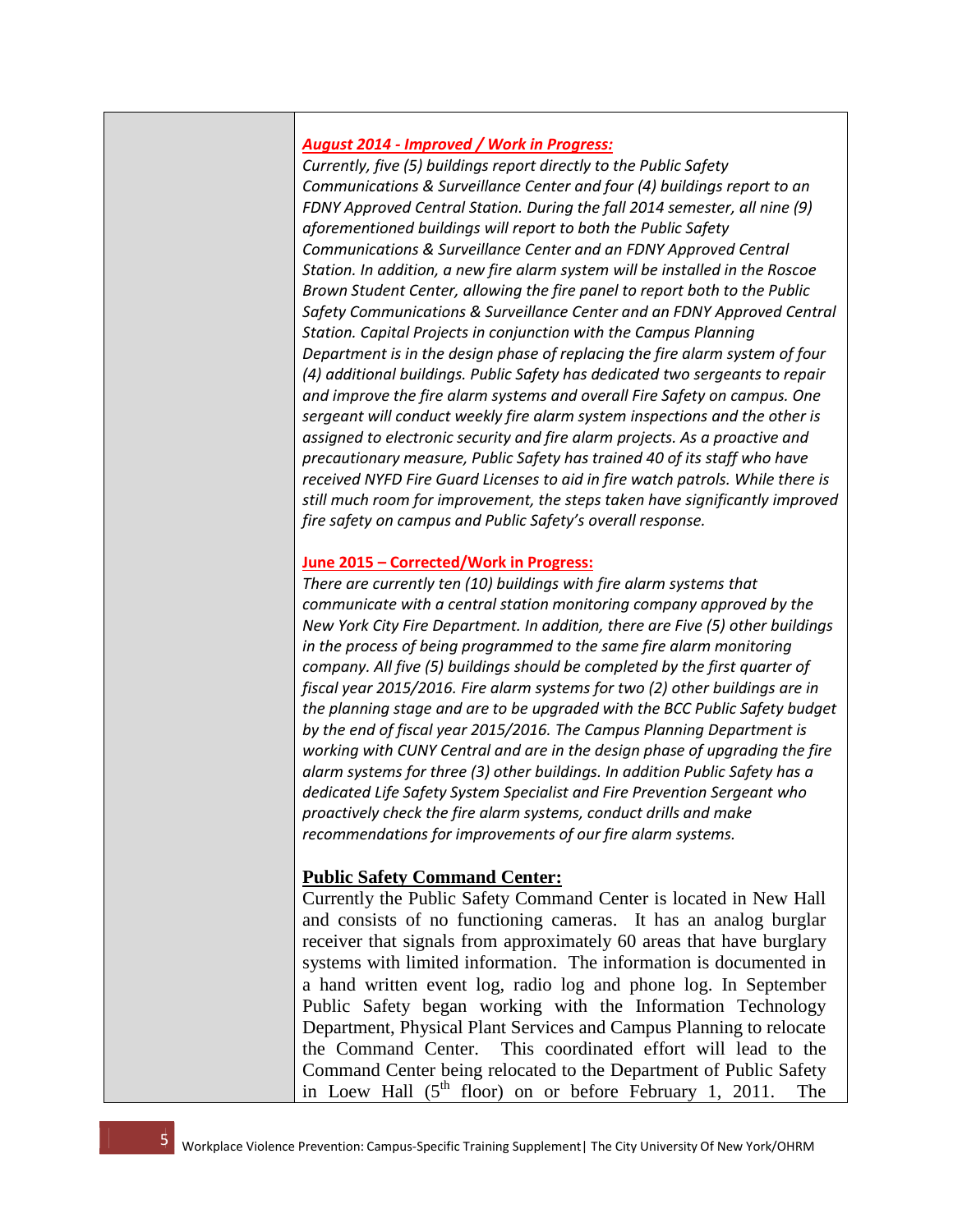## *August 2014 - Improved / Work in Progress:*

*Currently, five (5) buildings report directly to the Public Safety Communications & Surveillance Center and four (4) buildings report to an FDNY Approved Central Station. During the fall 2014 semester, all nine (9) aforementioned buildings will report to both the Public Safety Communications & Surveillance Center and an FDNY Approved Central Station. In addition, a new fire alarm system will be installed in the Roscoe Brown Student Center, allowing the fire panel to report both to the Public Safety Communications & Surveillance Center and an FDNY Approved Central Station. Capital Projects in conjunction with the Campus Planning Department is in the design phase of replacing the fire alarm system of four (4) additional buildings. Public Safety has dedicated two sergeants to repair and improve the fire alarm systems and overall Fire Safety on campus. One sergeant will conduct weekly fire alarm system inspections and the other is assigned to electronic security and fire alarm projects. As a proactive and precautionary measure, Public Safety has trained 40 of its staff who have received NYFD Fire Guard Licenses to aid in fire watch patrols. While there is still much room for improvement, the steps taken have significantly improved fire safety on campus and Public Safety's overall response.*

#### **June 2015 – Corrected/Work in Progress:**

*There are currently ten (10) buildings with fire alarm systems that communicate with a central station monitoring company approved by the New York City Fire Department. In addition, there are Five (5) other buildings in the process of being programmed to the same fire alarm monitoring company. All five (5) buildings should be completed by the first quarter of fiscal year 2015/2016. Fire alarm systems for two (2) other buildings are in the planning stage and are to be upgraded with the BCC Public Safety budget by the end of fiscal year 2015/2016. The Campus Planning Department is working with CUNY Central and are in the design phase of upgrading the fire alarm systems for three (3) other buildings. In addition Public Safety has a dedicated Life Safety System Specialist and Fire Prevention Sergeant who proactively check the fire alarm systems, conduct drills and make recommendations for improvements of our fire alarm systems.* 

## **Public Safety Command Center:**

Currently the Public Safety Command Center is located in New Hall and consists of no functioning cameras. It has an analog burglar receiver that signals from approximately 60 areas that have burglary systems with limited information. The information is documented in a hand written event log, radio log and phone log. In September Public Safety began working with the Information Technology Department, Physical Plant Services and Campus Planning to relocate the Command Center. This coordinated effort will lead to the Command Center being relocated to the Department of Public Safety in Loew Hall  $(5^{th}$  floor) on or before February 1, 2011. The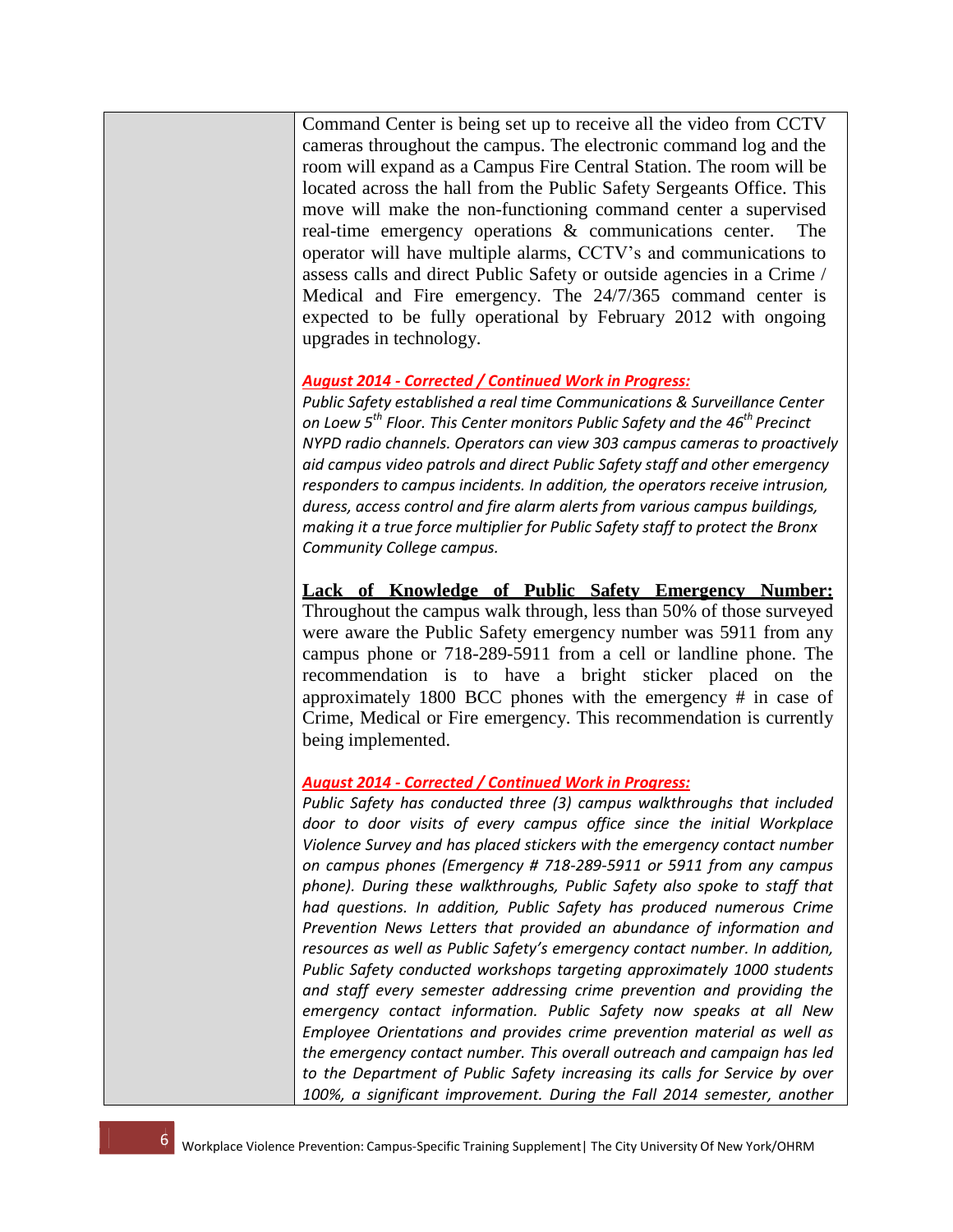Command Center is being set up to receive all the video from CCTV cameras throughout the campus. The electronic command log and the room will expand as a Campus Fire Central Station. The room will be located across the hall from the Public Safety Sergeants Office. This move will make the non-functioning command center a supervised real-time emergency operations & communications center. The operator will have multiple alarms, CCTV's and communications to assess calls and direct Public Safety or outside agencies in a Crime / Medical and Fire emergency. The 24/7/365 command center is expected to be fully operational by February 2012 with ongoing upgrades in technology.

#### *August 2014 - Corrected / Continued Work in Progress:*

*Public Safety established a real time Communications & Surveillance Center on Loew 5th Floor. This Center monitors Public Safety and the 46th Precinct NYPD radio channels. Operators can view 303 campus cameras to proactively aid campus video patrols and direct Public Safety staff and other emergency responders to campus incidents. In addition, the operators receive intrusion, duress, access control and fire alarm alerts from various campus buildings, making it a true force multiplier for Public Safety staff to protect the Bronx Community College campus.* 

## **Lack of Knowledge of Public Safety Emergency Number:**

Throughout the campus walk through, less than 50% of those surveyed were aware the Public Safety emergency number was 5911 from any campus phone or 718-289-5911 from a cell or landline phone. The recommendation is to have a bright sticker placed on the approximately 1800 BCC phones with the emergency # in case of Crime, Medical or Fire emergency. This recommendation is currently being implemented.

#### *August 2014 - Corrected / Continued Work in Progress:*

*Public Safety has conducted three (3) campus walkthroughs that included door to door visits of every campus office since the initial Workplace Violence Survey and has placed stickers with the emergency contact number on campus phones (Emergency # 718-289-5911 or 5911 from any campus phone). During these walkthroughs, Public Safety also spoke to staff that had questions. In addition, Public Safety has produced numerous Crime Prevention News Letters that provided an abundance of information and resources as well as Public Safety's emergency contact number. In addition, Public Safety conducted workshops targeting approximately 1000 students and staff every semester addressing crime prevention and providing the emergency contact information. Public Safety now speaks at all New Employee Orientations and provides crime prevention material as well as the emergency contact number. This overall outreach and campaign has led to the Department of Public Safety increasing its calls for Service by over 100%, a significant improvement. During the Fall 2014 semester, another*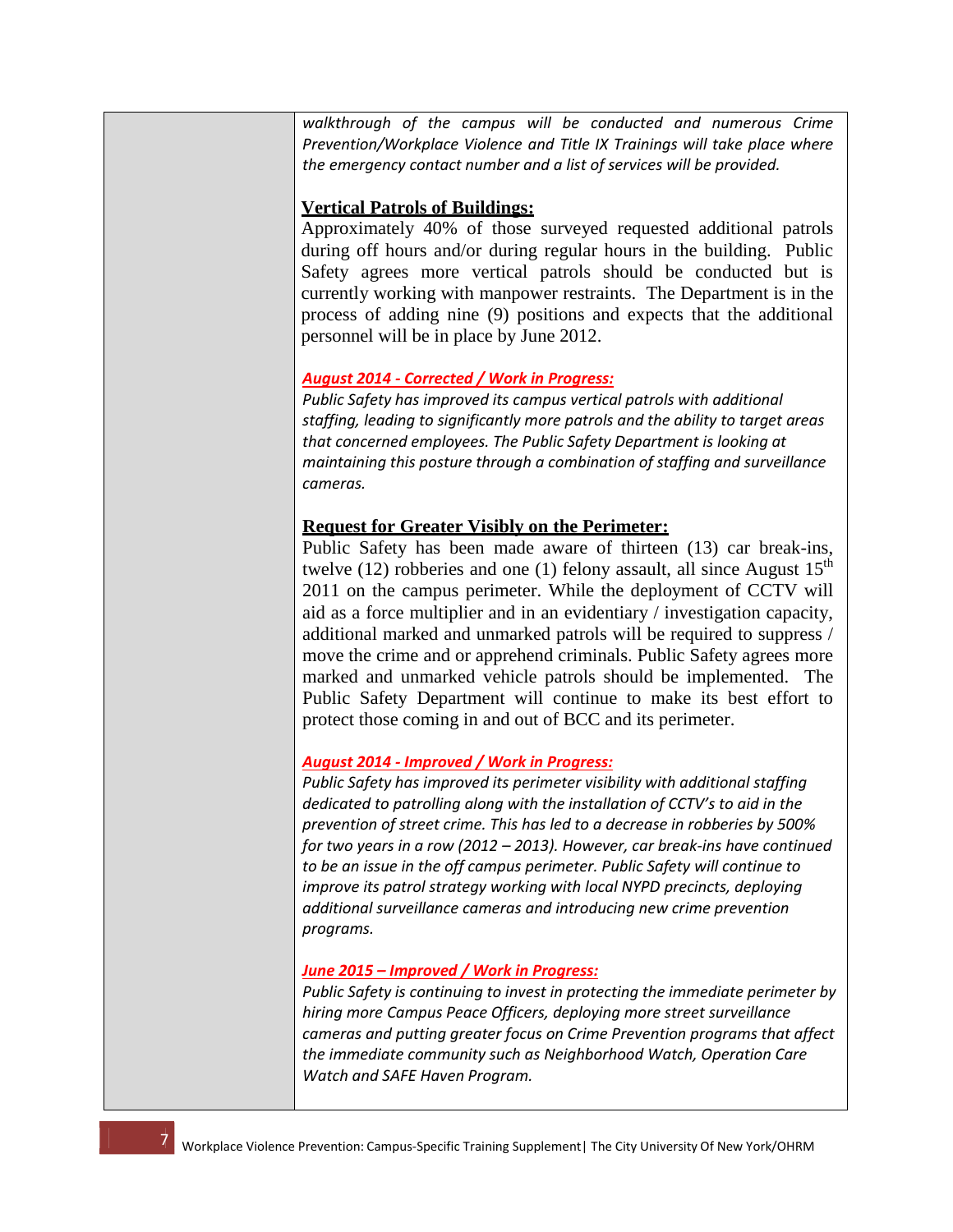*walkthrough of the campus will be conducted and numerous Crime Prevention/Workplace Violence and Title IX Trainings will take place where the emergency contact number and a list of services will be provided.* 

### **Vertical Patrols of Buildings:**

Approximately 40% of those surveyed requested additional patrols during off hours and/or during regular hours in the building. Public Safety agrees more vertical patrols should be conducted but is currently working with manpower restraints. The Department is in the process of adding nine (9) positions and expects that the additional personnel will be in place by June 2012.

## *August 2014 - Corrected / Work in Progress:*

*Public Safety has improved its campus vertical patrols with additional staffing, leading to significantly more patrols and the ability to target areas that concerned employees. The Public Safety Department is looking at maintaining this posture through a combination of staffing and surveillance cameras.* 

### **Request for Greater Visibly on the Perimeter:**

Public Safety has been made aware of thirteen (13) car break-ins, twelve (12) robberies and one (1) felony assault, all since August  $15<sup>th</sup>$ 2011 on the campus perimeter. While the deployment of CCTV will aid as a force multiplier and in an evidentiary / investigation capacity, additional marked and unmarked patrols will be required to suppress / move the crime and or apprehend criminals. Public Safety agrees more marked and unmarked vehicle patrols should be implemented. The Public Safety Department will continue to make its best effort to protect those coming in and out of BCC and its perimeter.

#### *August 2014 - Improved / Work in Progress:*

*Public Safety has improved its perimeter visibility with additional staffing dedicated to patrolling along with the installation of CCTV's to aid in the prevention of street crime. This has led to a decrease in robberies by 500% for two years in a row (2012 – 2013). However, car break-ins have continued to be an issue in the off campus perimeter. Public Safety will continue to improve its patrol strategy working with local NYPD precincts, deploying additional surveillance cameras and introducing new crime prevention programs.* 

#### *June 2015 – Improved / Work in Progress:*

*Public Safety is continuing to invest in protecting the immediate perimeter by hiring more Campus Peace Officers, deploying more street surveillance cameras and putting greater focus on Crime Prevention programs that affect the immediate community such as Neighborhood Watch, Operation Care Watch and SAFE Haven Program.*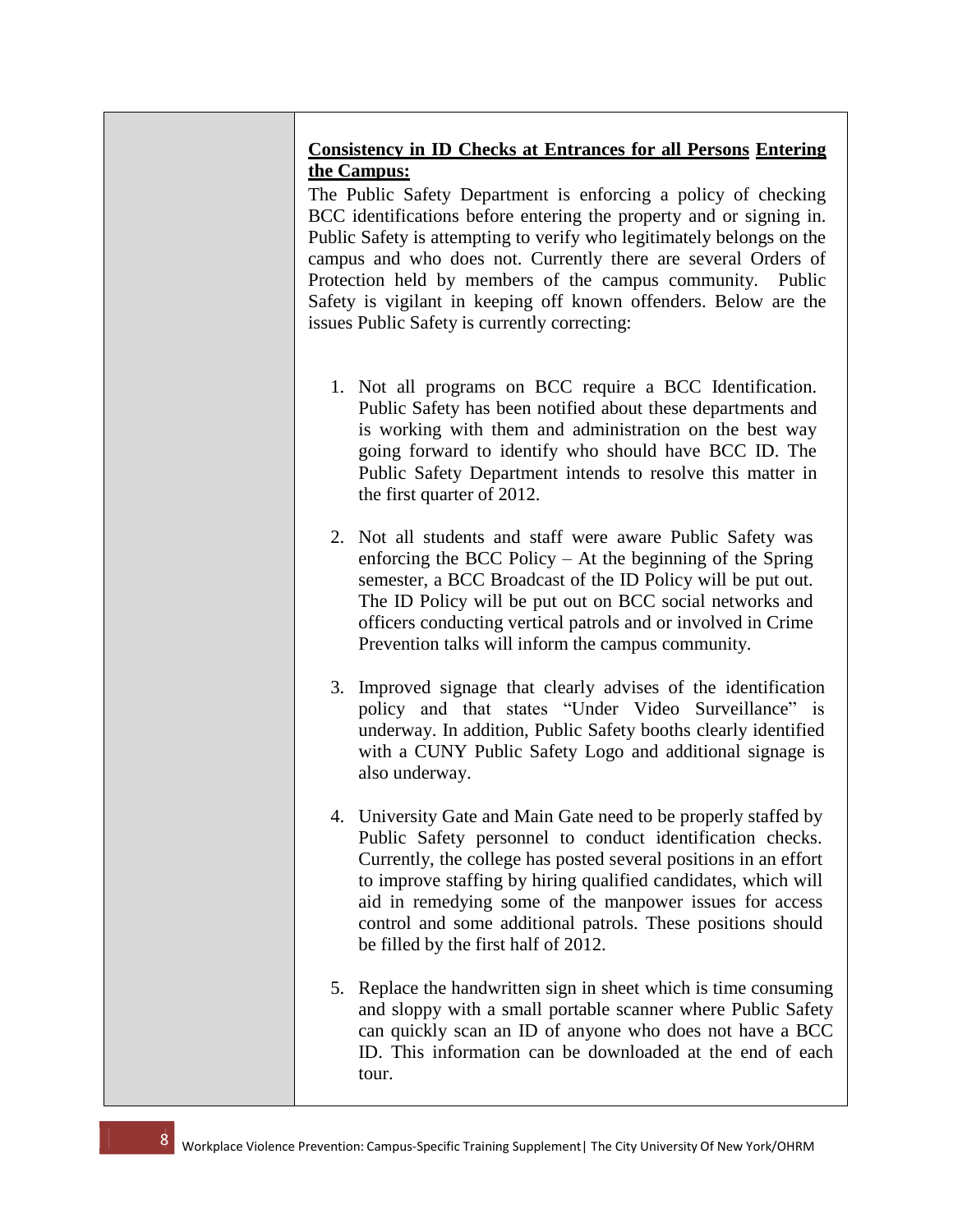# **Consistency in ID Checks at Entrances for all Persons Entering the Campus:**

The Public Safety Department is enforcing a policy of checking BCC identifications before entering the property and or signing in. Public Safety is attempting to verify who legitimately belongs on the campus and who does not. Currently there are several Orders of Protection held by members of the campus community. Public Safety is vigilant in keeping off known offenders. Below are the issues Public Safety is currently correcting:

- 1. Not all programs on BCC require a BCC Identification. Public Safety has been notified about these departments and is working with them and administration on the best way going forward to identify who should have BCC ID. The Public Safety Department intends to resolve this matter in the first quarter of 2012.
- 2. Not all students and staff were aware Public Safety was enforcing the BCC Policy – At the beginning of the Spring semester, a BCC Broadcast of the ID Policy will be put out. The ID Policy will be put out on BCC social networks and officers conducting vertical patrols and or involved in Crime Prevention talks will inform the campus community.
- 3. Improved signage that clearly advises of the identification policy and that states "Under Video Surveillance" is underway. In addition, Public Safety booths clearly identified with a CUNY Public Safety Logo and additional signage is also underway.
- 4. University Gate and Main Gate need to be properly staffed by Public Safety personnel to conduct identification checks. Currently, the college has posted several positions in an effort to improve staffing by hiring qualified candidates, which will aid in remedying some of the manpower issues for access control and some additional patrols. These positions should be filled by the first half of 2012.
- 5. Replace the handwritten sign in sheet which is time consuming and sloppy with a small portable scanner where Public Safety can quickly scan an ID of anyone who does not have a BCC ID. This information can be downloaded at the end of each tour.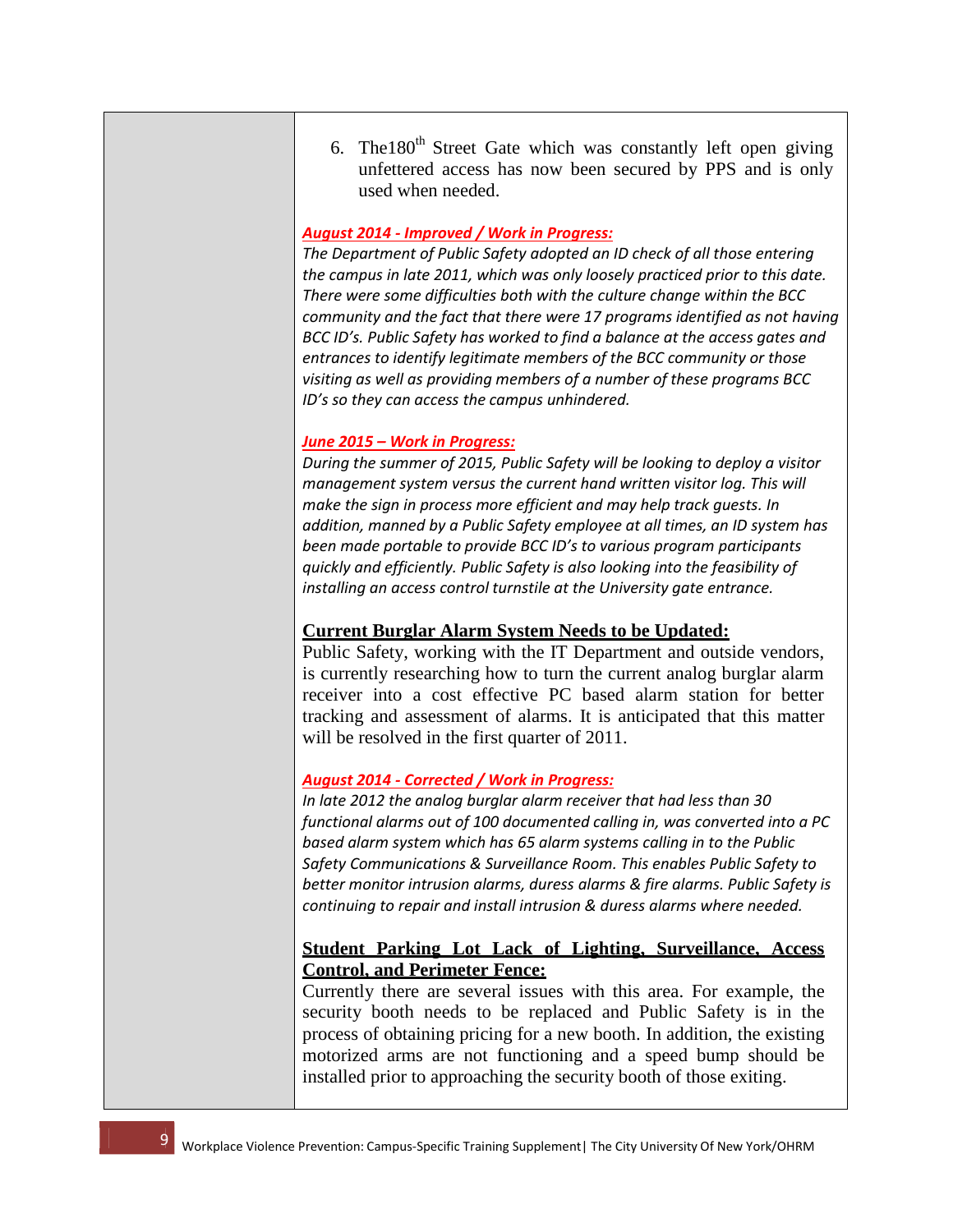6. The  $180<sup>th</sup>$  Street Gate which was constantly left open giving unfettered access has now been secured by PPS and is only used when needed.

#### *August 2014 - Improved / Work in Progress:*

*The Department of Public Safety adopted an ID check of all those entering the campus in late 2011, which was only loosely practiced prior to this date. There were some difficulties both with the culture change within the BCC community and the fact that there were 17 programs identified as not having BCC ID's. Public Safety has worked to find a balance at the access gates and entrances to identify legitimate members of the BCC community or those visiting as well as providing members of a number of these programs BCC ID's so they can access the campus unhindered.* 

#### *June 2015 – Work in Progress:*

*During the summer of 2015, Public Safety will be looking to deploy a visitor management system versus the current hand written visitor log. This will make the sign in process more efficient and may help track guests. In addition, manned by a Public Safety employee at all times, an ID system has been made portable to provide BCC ID's to various program participants quickly and efficiently. Public Safety is also looking into the feasibility of installing an access control turnstile at the University gate entrance.* 

#### **Current Burglar Alarm System Needs to be Updated:**

Public Safety, working with the IT Department and outside vendors, is currently researching how to turn the current analog burglar alarm receiver into a cost effective PC based alarm station for better tracking and assessment of alarms. It is anticipated that this matter will be resolved in the first quarter of 2011.

#### *August 2014 - Corrected / Work in Progress:*

*In late 2012 the analog burglar alarm receiver that had less than 30 functional alarms out of 100 documented calling in, was converted into a PC based alarm system which has 65 alarm systems calling in to the Public Safety Communications & Surveillance Room. This enables Public Safety to better monitor intrusion alarms, duress alarms & fire alarms. Public Safety is continuing to repair and install intrusion & duress alarms where needed.* 

## **Student Parking Lot Lack of Lighting, Surveillance, Access Control, and Perimeter Fence:**

Currently there are several issues with this area. For example, the security booth needs to be replaced and Public Safety is in the process of obtaining pricing for a new booth. In addition, the existing motorized arms are not functioning and a speed bump should be installed prior to approaching the security booth of those exiting.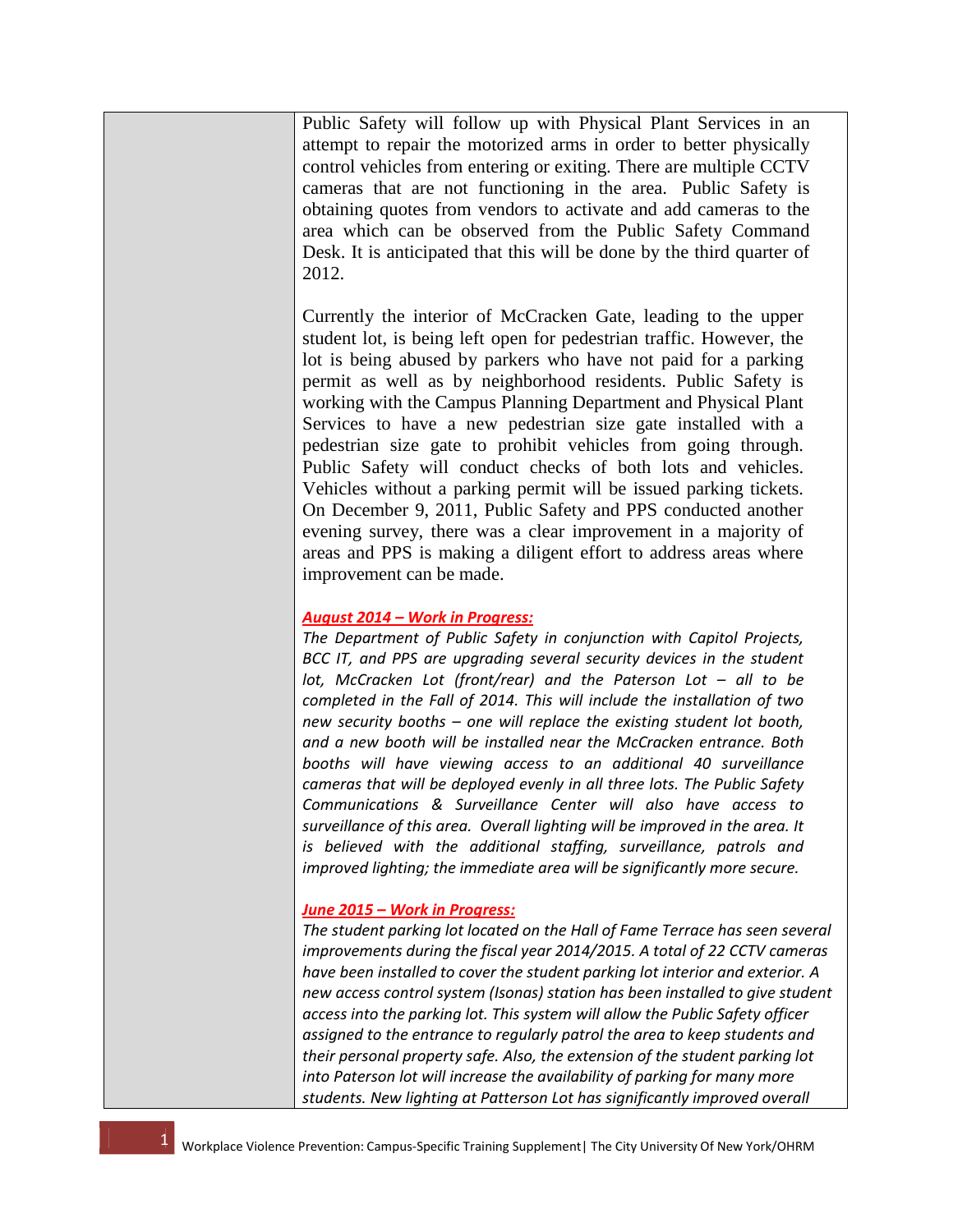Public Safety will follow up with Physical Plant Services in an attempt to repair the motorized arms in order to better physically control vehicles from entering or exiting. There are multiple CCTV cameras that are not functioning in the area. Public Safety is obtaining quotes from vendors to activate and add cameras to the area which can be observed from the Public Safety Command Desk. It is anticipated that this will be done by the third quarter of 2012.

Currently the interior of McCracken Gate, leading to the upper student lot, is being left open for pedestrian traffic. However, the lot is being abused by parkers who have not paid for a parking permit as well as by neighborhood residents. Public Safety is working with the Campus Planning Department and Physical Plant Services to have a new pedestrian size gate installed with a pedestrian size gate to prohibit vehicles from going through. Public Safety will conduct checks of both lots and vehicles. Vehicles without a parking permit will be issued parking tickets. On December 9, 2011, Public Safety and PPS conducted another evening survey, there was a clear improvement in a majority of areas and PPS is making a diligent effort to address areas where improvement can be made.

#### *August 2014 – Work in Progress:*

*The Department of Public Safety in conjunction with Capitol Projects, BCC IT, and PPS are upgrading several security devices in the student lot, McCracken Lot (front/rear) and the Paterson Lot – all to be completed in the Fall of 2014. This will include the installation of two new security booths – one will replace the existing student lot booth, and a new booth will be installed near the McCracken entrance. Both booths will have viewing access to an additional 40 surveillance cameras that will be deployed evenly in all three lots. The Public Safety Communications & Surveillance Center will also have access to surveillance of this area. Overall lighting will be improved in the area. It is believed with the additional staffing, surveillance, patrols and improved lighting; the immediate area will be significantly more secure.* 

#### *June 2015 – Work in Progress:*

*The student parking lot located on the Hall of Fame Terrace has seen several improvements during the fiscal year 2014/2015. A total of 22 CCTV cameras have been installed to cover the student parking lot interior and exterior. A new access control system (Isonas) station has been installed to give student access into the parking lot. This system will allow the Public Safety officer assigned to the entrance to regularly patrol the area to keep students and their personal property safe. Also, the extension of the student parking lot into Paterson lot will increase the availability of parking for many more students. New lighting at Patterson Lot has significantly improved overall*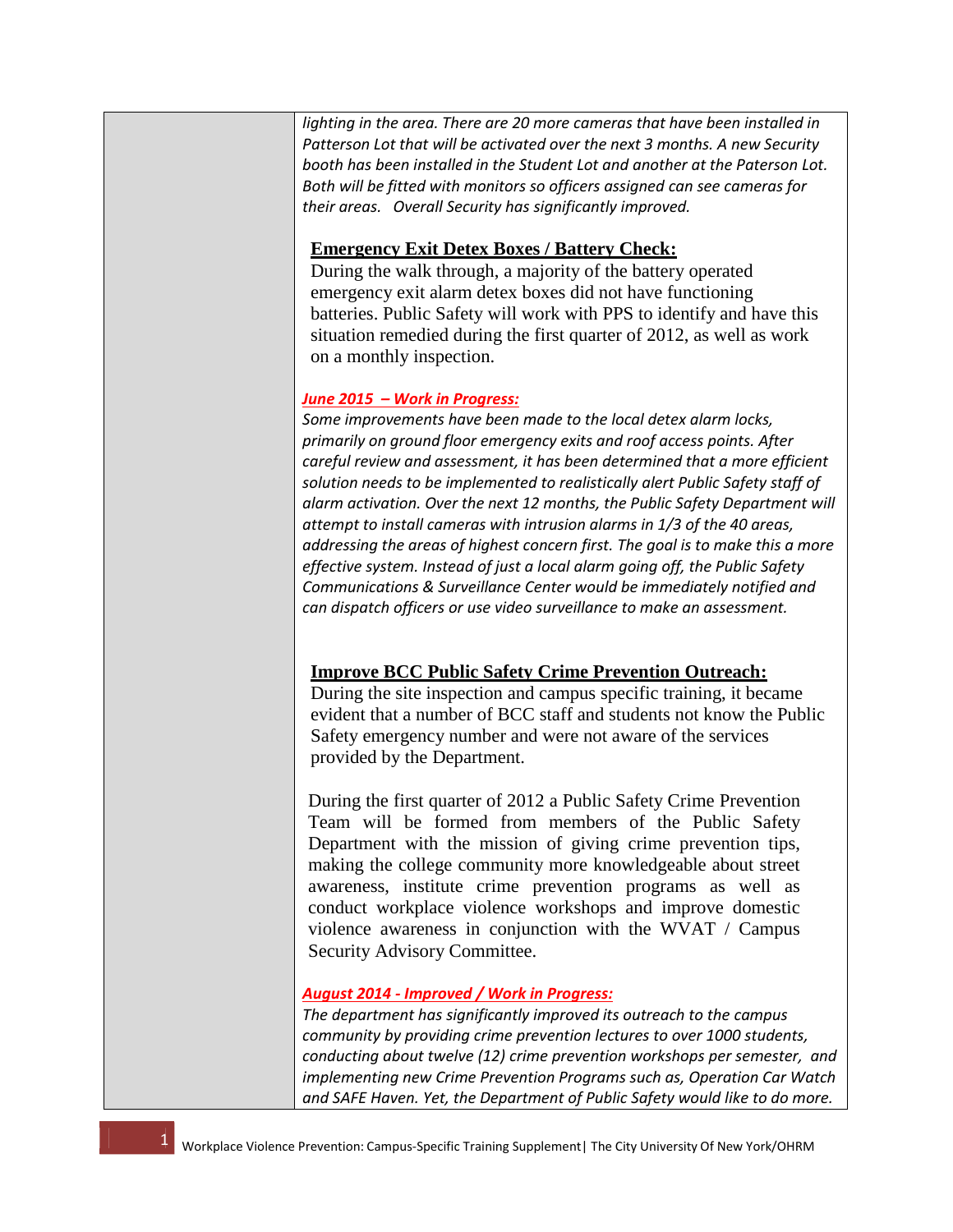*lighting in the area. There are 20 more cameras that have been installed in Patterson Lot that will be activated over the next 3 months. A new Security booth has been installed in the Student Lot and another at the Paterson Lot. Both will be fitted with monitors so officers assigned can see cameras for their areas. Overall Security has significantly improved.* 

## **Emergency Exit Detex Boxes / Battery Check:**

During the walk through, a majority of the battery operated emergency exit alarm detex boxes did not have functioning batteries. Public Safety will work with PPS to identify and have this situation remedied during the first quarter of 2012, as well as work on a monthly inspection.

## *June 2015 – Work in Progress:*

*Some improvements have been made to the local detex alarm locks, primarily on ground floor emergency exits and roof access points. After careful review and assessment, it has been determined that a more efficient solution needs to be implemented to realistically alert Public Safety staff of alarm activation. Over the next 12 months, the Public Safety Department will attempt to install cameras with intrusion alarms in 1/3 of the 40 areas, addressing the areas of highest concern first. The goal is to make this a more effective system. Instead of just a local alarm going off, the Public Safety Communications & Surveillance Center would be immediately notified and can dispatch officers or use video surveillance to make an assessment.*

# **Improve BCC Public Safety Crime Prevention Outreach:**

During the site inspection and campus specific training, it became evident that a number of BCC staff and students not know the Public Safety emergency number and were not aware of the services provided by the Department.

During the first quarter of 2012 a Public Safety Crime Prevention Team will be formed from members of the Public Safety Department with the mission of giving crime prevention tips, making the college community more knowledgeable about street awareness, institute crime prevention programs as well as conduct workplace violence workshops and improve domestic violence awareness in conjunction with the WVAT / Campus Security Advisory Committee.

## *August 2014 - Improved / Work in Progress:*

*The department has significantly improved its outreach to the campus community by providing crime prevention lectures to over 1000 students, conducting about twelve (12) crime prevention workshops per semester, and implementing new Crime Prevention Programs such as, Operation Car Watch and SAFE Haven. Yet, the Department of Public Safety would like to do more.*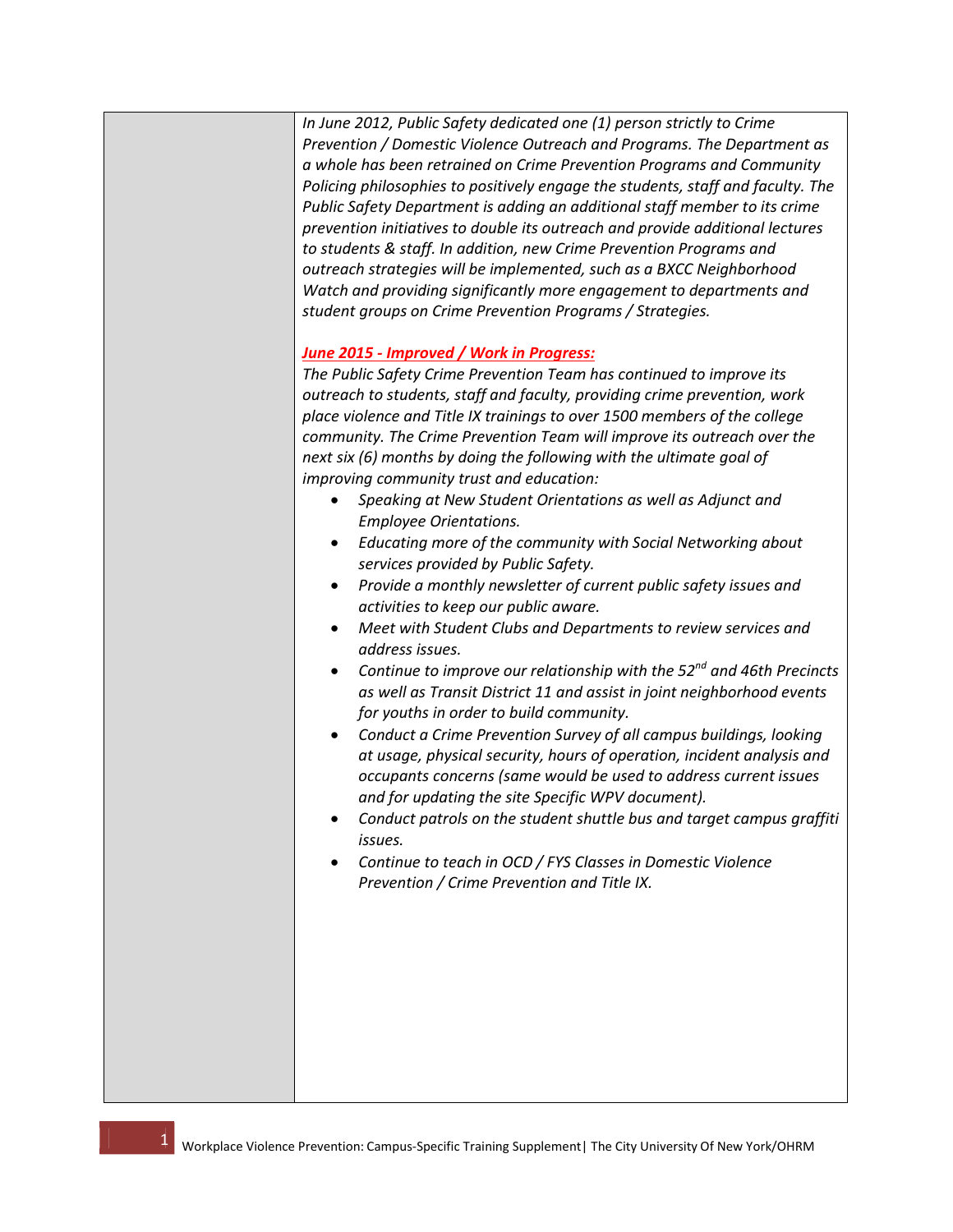*In June 2012, Public Safety dedicated one (1) person strictly to Crime Prevention / Domestic Violence Outreach and Programs. The Department as a whole has been retrained on Crime Prevention Programs and Community Policing philosophies to positively engage the students, staff and faculty. The Public Safety Department is adding an additional staff member to its crime prevention initiatives to double its outreach and provide additional lectures to students & staff. In addition, new Crime Prevention Programs and outreach strategies will be implemented, such as a BXCC Neighborhood Watch and providing significantly more engagement to departments and student groups on Crime Prevention Programs / Strategies.* 

#### *June 2015 - Improved / Work in Progress:*

*The Public Safety Crime Prevention Team has continued to improve its outreach to students, staff and faculty, providing crime prevention, work place violence and Title IX trainings to over 1500 members of the college community. The Crime Prevention Team will improve its outreach over the next six (6) months by doing the following with the ultimate goal of improving community trust and education:*

- *Speaking at New Student Orientations as well as Adjunct and Employee Orientations.*
- *Educating more of the community with Social Networking about services provided by Public Safety.*
- *Provide a monthly newsletter of current public safety issues and activities to keep our public aware.*
- *Meet with Student Clubs and Departments to review services and address issues.*
- *Continue to improve our relationship with the 52nd and 46th Precincts as well as Transit District 11 and assist in joint neighborhood events for youths in order to build community.*
- *Conduct a Crime Prevention Survey of all campus buildings, looking at usage, physical security, hours of operation, incident analysis and occupants concerns (same would be used to address current issues and for updating the site Specific WPV document).*
- *Conduct patrols on the student shuttle bus and target campus graffiti issues.*
- *Continue to teach in OCD / FYS Classes in Domestic Violence Prevention / Crime Prevention and Title IX.*

1 2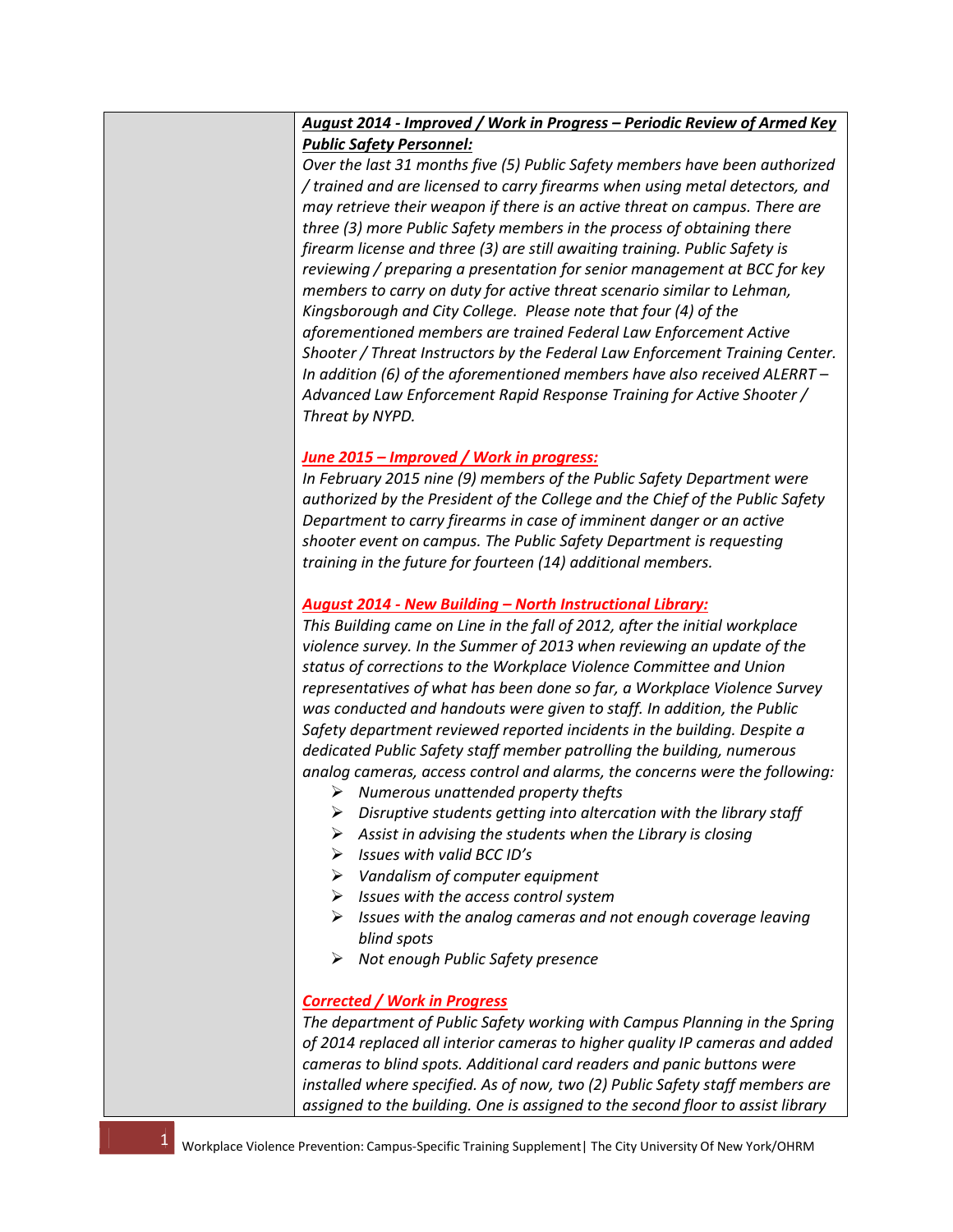## *August 2014 - Improved / Work in Progress – Periodic Review of Armed Key Public Safety Personnel:*

*Over the last 31 months five (5) Public Safety members have been authorized / trained and are licensed to carry firearms when using metal detectors, and may retrieve their weapon if there is an active threat on campus. There are three (3) more Public Safety members in the process of obtaining there firearm license and three (3) are still awaiting training. Public Safety is reviewing / preparing a presentation for senior management at BCC for key members to carry on duty for active threat scenario similar to Lehman, Kingsborough and City College. Please note that four (4) of the aforementioned members are trained Federal Law Enforcement Active Shooter / Threat Instructors by the Federal Law Enforcement Training Center. In addition (6) of the aforementioned members have also received ALERRT – Advanced Law Enforcement Rapid Response Training for Active Shooter / Threat by NYPD.* 

## *June 2015 – Improved / Work in progress:*

*In February 2015 nine (9) members of the Public Safety Department were authorized by the President of the College and the Chief of the Public Safety Department to carry firearms in case of imminent danger or an active shooter event on campus. The Public Safety Department is requesting training in the future for fourteen (14) additional members.*

### *August 2014 - New Building – North Instructional Library:*

*This Building came on Line in the fall of 2012, after the initial workplace violence survey. In the Summer of 2013 when reviewing an update of the status of corrections to the Workplace Violence Committee and Union representatives of what has been done so far, a Workplace Violence Survey was conducted and handouts were given to staff. In addition, the Public Safety department reviewed reported incidents in the building. Despite a dedicated Public Safety staff member patrolling the building, numerous analog cameras, access control and alarms, the concerns were the following:*

- *Numerous unattended property thefts*
- *Disruptive students getting into altercation with the library staff*
- *Assist in advising the students when the Library is closing*
- *Issues with valid BCC ID's*
- *Vandalism of computer equipment*
- *Issues with the access control system*
- *Issues with the analog cameras and not enough coverage leaving blind spots*
- *Not enough Public Safety presence*

## *Corrected / Work in Progress*

*The department of Public Safety working with Campus Planning in the Spring of 2014 replaced all interior cameras to higher quality IP cameras and added cameras to blind spots. Additional card readers and panic buttons were installed where specified. As of now, two (2) Public Safety staff members are assigned to the building. One is assigned to the second floor to assist library*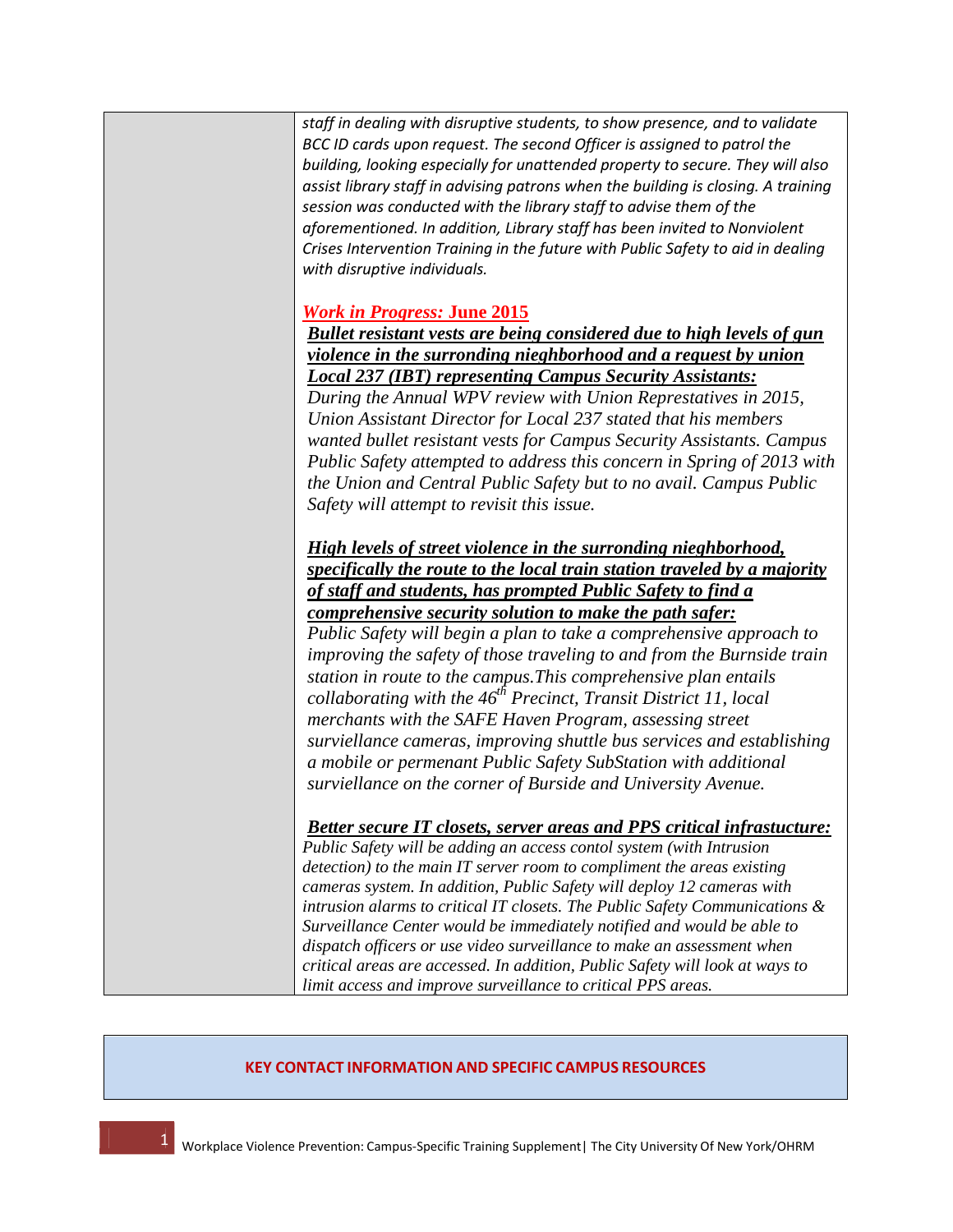*staff in dealing with disruptive students, to show presence, and to validate BCC ID cards upon request. The second Officer is assigned to patrol the building, looking especially for unattended property to secure. They will also assist library staff in advising patrons when the building is closing. A training session was conducted with the library staff to advise them of the aforementioned. In addition, Library staff has been invited to Nonviolent Crises Intervention Training in the future with Public Safety to aid in dealing with disruptive individuals.* 

## *Work in Progress:* **June 2015**

*Bullet resistant vests are being considered due to high levels of gun violence in the surronding nieghborhood and a request by union Local 237 (IBT) representing Campus Security Assistants:*

*During the Annual WPV review with Union Represtatives in 2015, Union Assistant Director for Local 237 stated that his members wanted bullet resistant vests for Campus Security Assistants. Campus Public Safety attempted to address this concern in Spring of 2013 with the Union and Central Public Safety but to no avail. Campus Public Safety will attempt to revisit this issue.* 

*High levels of street violence in the surronding nieghborhood, specifically the route to the local train station traveled by a majority of staff and students, has prompted Public Safety to find a comprehensive security solution to make the path safer:*

*Public Safety will begin a plan to take a comprehensive approach to improving the safety of those traveling to and from the Burnside train station in route to the campus.This comprehensive plan entails collaborating with the 46th Precinct, Transit District 11, local merchants with the SAFE Haven Program, assessing street surviellance cameras, improving shuttle bus services and establishing a mobile or permenant Public Safety SubStation with additional surviellance on the corner of Burside and University Avenue.* 

*Better secure IT closets, server areas and PPS critical infrastucture:*

*Public Safety will be adding an access contol system (with Intrusion detection) to the main IT server room to compliment the areas existing cameras system. In addition, Public Safety will deploy 12 cameras with intrusion alarms to critical IT closets. The Public Safety Communications & Surveillance Center would be immediately notified and would be able to dispatch officers or use video surveillance to make an assessment when critical areas are accessed. In addition, Public Safety will look at ways to limit access and improve surveillance to critical PPS areas.* 

#### **KEY CONTACT INFORMATION AND SPECIFIC CAMPUS RESOURCES**

1 4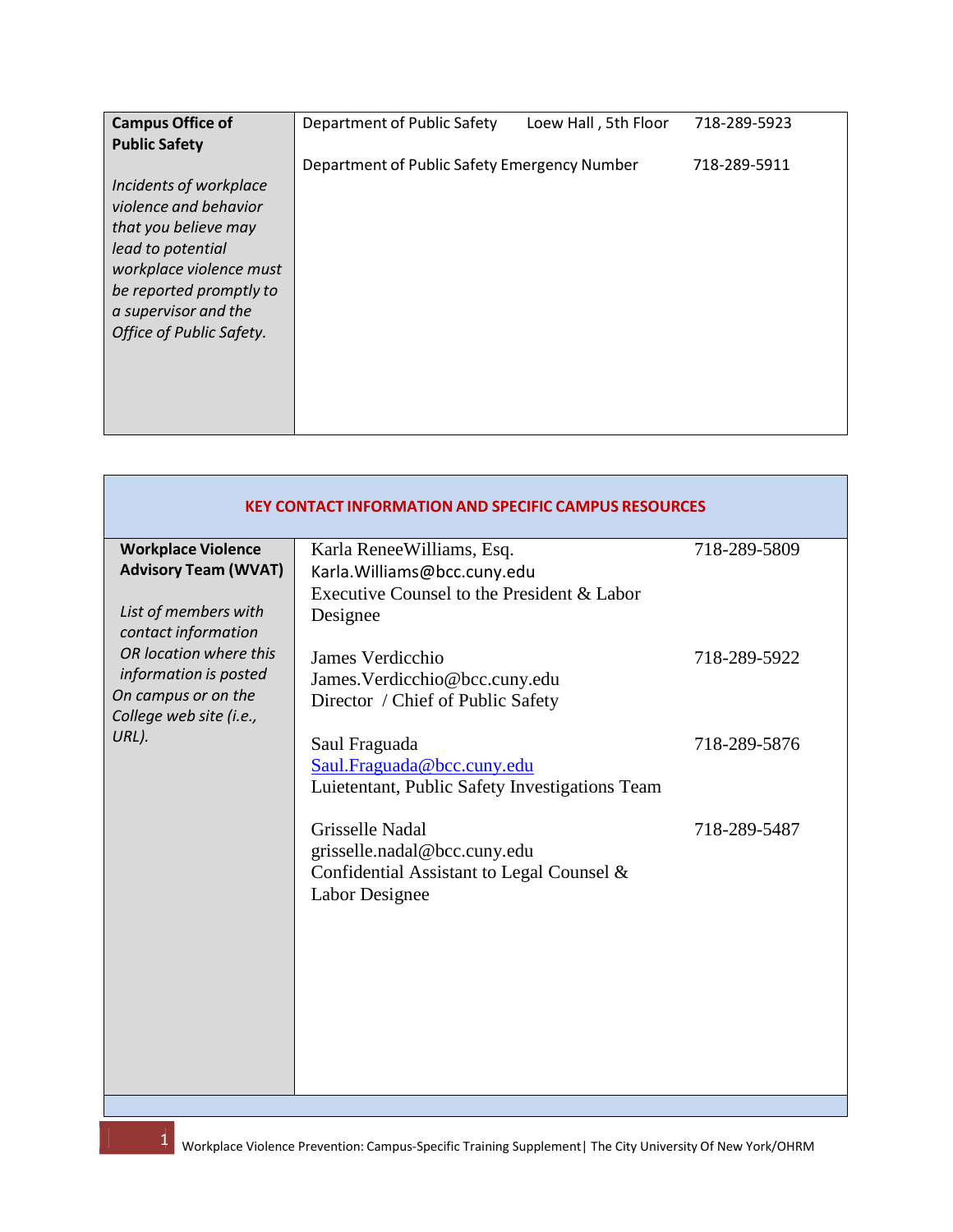| <b>Campus Office of</b>                                                                                                                                                                                | Department of Public Safety                  | Loew Hall, 5th Floor | 718-289-5923 |
|--------------------------------------------------------------------------------------------------------------------------------------------------------------------------------------------------------|----------------------------------------------|----------------------|--------------|
| <b>Public Safety</b>                                                                                                                                                                                   |                                              |                      |              |
|                                                                                                                                                                                                        | Department of Public Safety Emergency Number |                      | 718-289-5911 |
| Incidents of workplace<br>violence and behavior<br>that you believe may<br>lead to potential<br>workplace violence must<br>be reported promptly to<br>a supervisor and the<br>Office of Public Safety. |                                              |                      |              |

| <b>KEY CONTACT INFORMATION AND SPECIFIC CAMPUS RESOURCES</b>                                            |                                                                                                                     |              |
|---------------------------------------------------------------------------------------------------------|---------------------------------------------------------------------------------------------------------------------|--------------|
| <b>Workplace Violence</b><br><b>Advisory Team (WVAT)</b><br>List of members with<br>contact information | Karla ReneeWilliams, Esq.<br>Karla. Williams@bcc.cuny.edu<br>Executive Counsel to the President & Labor<br>Designee | 718-289-5809 |
| OR location where this<br>information is posted<br>On campus or on the<br>College web site (i.e.,       | James Verdicchio<br>James. Verdicchio@bcc.cuny.edu<br>Director / Chief of Public Safety                             | 718-289-5922 |
| URL).                                                                                                   | Saul Fraguada<br>Saul.Fraguada@bcc.cuny.edu<br>Luietentant, Public Safety Investigations Team                       | 718-289-5876 |
|                                                                                                         | Grisselle Nadal<br>grisselle.nadal@bcc.cuny.edu<br>Confidential Assistant to Legal Counsel &<br>Labor Designee      | 718-289-5487 |

**5 Workplace Violence Prevention: Campus-Specific Training Supplement** | The City University Of New York/OHRM<br>**1990 - The City University Of New York/OHRM** 

1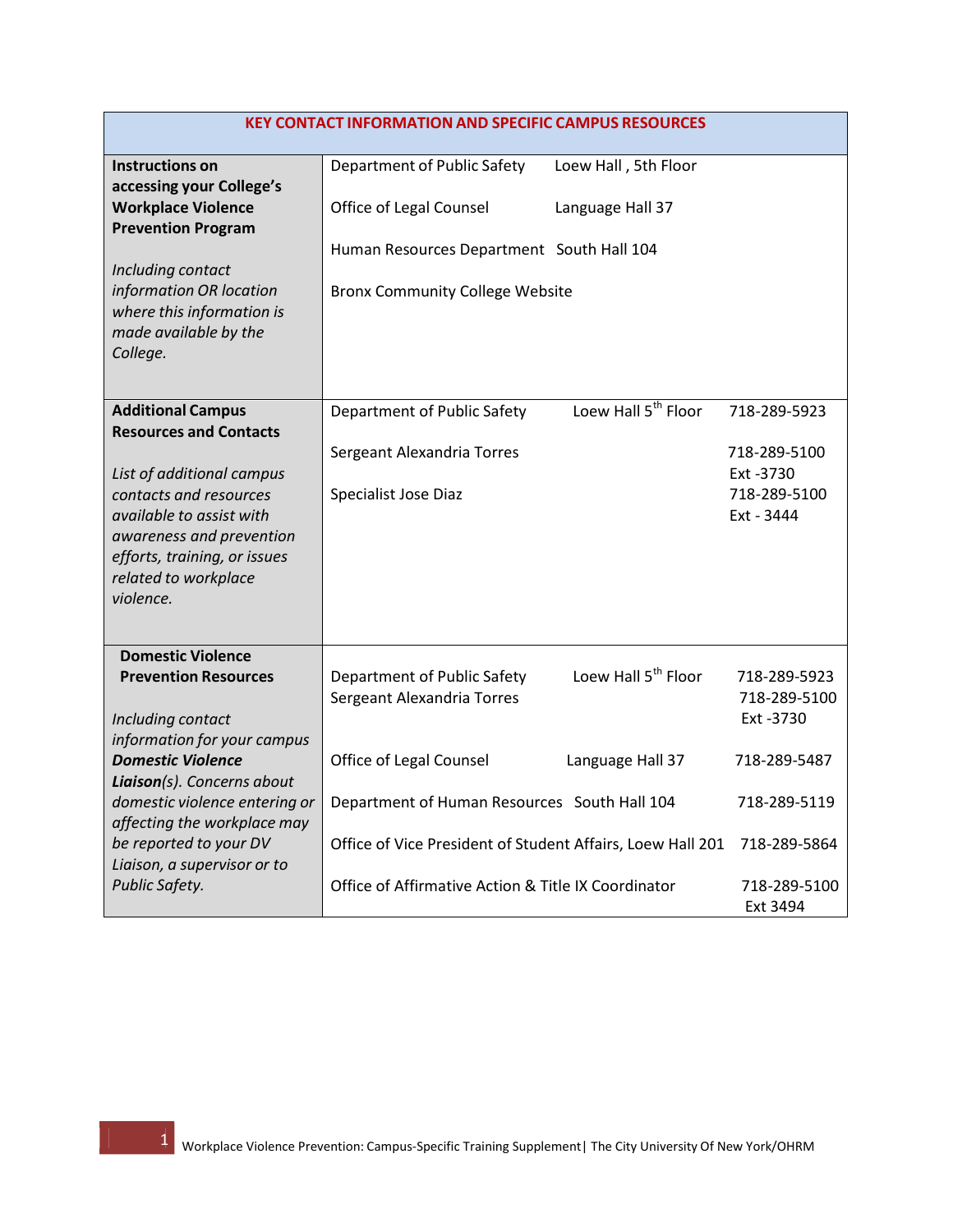| <b>KEY CONTACT INFORMATION AND SPECIFIC CAMPUS RESOURCES</b>                                                                                                                     |                                                                                     |                                 |                                                         |
|----------------------------------------------------------------------------------------------------------------------------------------------------------------------------------|-------------------------------------------------------------------------------------|---------------------------------|---------------------------------------------------------|
| <b>Instructions on</b>                                                                                                                                                           | Department of Public Safety                                                         | Loew Hall, 5th Floor            |                                                         |
| accessing your College's<br><b>Workplace Violence</b><br><b>Prevention Program</b>                                                                                               | Office of Legal Counsel                                                             | Language Hall 37                |                                                         |
| Including contact<br>information OR location<br>where this information is<br>made available by the<br>College.                                                                   | Human Resources Department South Hall 104<br><b>Bronx Community College Website</b> |                                 |                                                         |
| <b>Additional Campus</b><br><b>Resources and Contacts</b>                                                                                                                        | Department of Public Safety                                                         | Loew Hall 5 <sup>th</sup> Floor | 718-289-5923                                            |
| List of additional campus<br>contacts and resources<br>available to assist with<br>awareness and prevention<br>efforts, training, or issues<br>related to workplace<br>violence. | Sergeant Alexandria Torres<br>Specialist Jose Diaz                                  |                                 | 718-289-5100<br>Ext -3730<br>718-289-5100<br>Ext - 3444 |
| <b>Domestic Violence</b><br><b>Prevention Resources</b><br>Including contact<br>information for your campus                                                                      | Department of Public Safety<br>Sergeant Alexandria Torres                           | Loew Hall 5 <sup>th</sup> Floor | 718-289-5923<br>718-289-5100<br>Ext -3730               |
| <b>Domestic Violence</b><br>Liaison(s). Concerns about                                                                                                                           | Office of Legal Counsel                                                             | Language Hall 37                | 718-289-5487                                            |
| domestic violence entering or<br>affecting the workplace may                                                                                                                     | Department of Human Resources South Hall 104                                        |                                 | 718-289-5119                                            |
| be reported to your DV<br>Liaison, a supervisor or to                                                                                                                            | Office of Vice President of Student Affairs, Loew Hall 201                          |                                 | 718-289-5864                                            |
| Public Safety.                                                                                                                                                                   | Office of Affirmative Action & Title IX Coordinator                                 |                                 | 718-289-5100<br>Ext 3494                                |